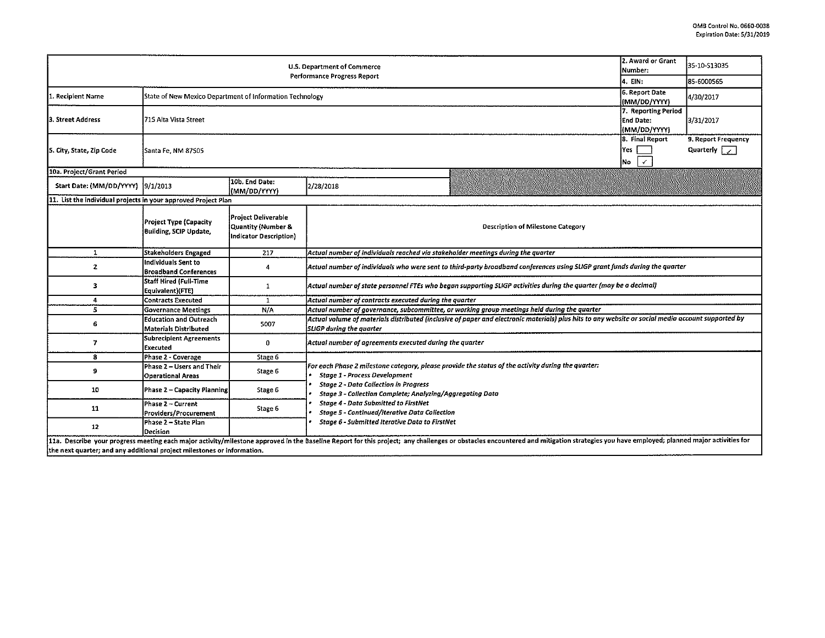|                                                                          | 2. Award or Grant<br>Number:                                  | 35-10-513035                                                               |                                                                                                                                                                                                                                |  |  |  |  |  |  |  |
|--------------------------------------------------------------------------|---------------------------------------------------------------|----------------------------------------------------------------------------|--------------------------------------------------------------------------------------------------------------------------------------------------------------------------------------------------------------------------------|--|--|--|--|--|--|--|
|                                                                          | 4. EIN:                                                       | 85-6000565                                                                 |                                                                                                                                                                                                                                |  |  |  |  |  |  |  |
| 1. Recipient Name                                                        | State of New Mexico Department of Information Technology      | 6. Report Date<br>(MM/DD/YYYY)                                             | 4/30/2017                                                                                                                                                                                                                      |  |  |  |  |  |  |  |
| l3. Street Address                                                       | 1715 Alta Vista Street                                        | 7. Reporting Period<br>End Date:<br>(MM/DD/YYYY)                           | 3/31/2017                                                                                                                                                                                                                      |  |  |  |  |  |  |  |
| 5. City, State, Zip Code                                                 | Santa Fe, NM 87505                                            | 8. Final Report<br>lYes :<br>$\checkmark$<br>İNo                           | 9. Report Frequency<br>Quarterly $\sqrt{\phantom{a}}$                                                                                                                                                                          |  |  |  |  |  |  |  |
| 10a. Project/Grant Period                                                |                                                               |                                                                            |                                                                                                                                                                                                                                |  |  |  |  |  |  |  |
| Start Date: (MM/DD/YYYY) [9/1/2013                                       |                                                               | 10b. End Date:<br>(MM/DD/YYYY)                                             | 2/28/2018                                                                                                                                                                                                                      |  |  |  |  |  |  |  |
| 11. List the individual projects in your approved Project Plan           |                                                               |                                                                            |                                                                                                                                                                                                                                |  |  |  |  |  |  |  |
|                                                                          | <b>Project Type (Capacity</b><br>Building, SCIP Update,       | <b>Project Deliverable</b><br>Quantity (Number &<br>Indicator Description) | <b>Description of Milestone Category</b>                                                                                                                                                                                       |  |  |  |  |  |  |  |
| 1                                                                        | Stakeholders Engaged                                          | 217                                                                        | Actual number of individuals reached via stakeholder meetings during the quarter                                                                                                                                               |  |  |  |  |  |  |  |
| $\mathbf{z}$                                                             | lIndividuals Sent to<br><b>Broadband Conferences</b>          | $\overline{4}$                                                             | Actual number of individuals who were sent to third-party broadband conferences using SLIGP grant funds during the quarter                                                                                                     |  |  |  |  |  |  |  |
| з                                                                        | <b>Staff Hired (Full-Time</b><br>Equivalent)(FTE)             | 1                                                                          | Actual number of state personnel FTEs who began supporting SLIGP activities during the quarter (may be a decimal)                                                                                                              |  |  |  |  |  |  |  |
| 4                                                                        | <b>Contracts Executed</b>                                     | $\mathbf{1}$                                                               | Actual number of contracts executed during the quarter                                                                                                                                                                         |  |  |  |  |  |  |  |
| 5                                                                        | <b>Governance Meetings</b>                                    | N/A                                                                        | Actual number of governance, subcommittee, or working group meetings held during the quarter                                                                                                                                   |  |  |  |  |  |  |  |
| 6                                                                        | <b>Education and Outreach</b><br><b>Materials Distributed</b> | 5007                                                                       | Actual volume of materials distributed (inclusive of paper and electronic materials) plus hits to any website or social media account supported by<br>SLIGP during the quarter                                                 |  |  |  |  |  |  |  |
| 7                                                                        | <b>Subrecipient Agreements</b><br><b>Executed</b>             | 0                                                                          | Actual number of agreements executed during the quarter                                                                                                                                                                        |  |  |  |  |  |  |  |
| 8                                                                        | Phase 2 - Coverage                                            | Stage 6                                                                    |                                                                                                                                                                                                                                |  |  |  |  |  |  |  |
| 9                                                                        | Phase 2 - Users and Their<br>Operational Areas                | Stage 6                                                                    | For each Phase 2 milestone category, please provide the status of the activity during the quarter:<br><b>Stage 1 - Process Development</b>                                                                                     |  |  |  |  |  |  |  |
| 10                                                                       | <b>Phase 2 - Capacity Planning</b>                            | Stage 6                                                                    | <b>Stage 2 - Data Collection in Progress</b><br>Stage 3 - Collection Complete; Analyzing/Aggregating Data<br><b>Stage 4 - Data Submitted to FirstNet</b><br><b>Stage 5 - Continued/Iterative Data Collection</b>               |  |  |  |  |  |  |  |
| 11                                                                       | Phase 2 – Current<br>Providers/Procurement                    | Stage 6                                                                    |                                                                                                                                                                                                                                |  |  |  |  |  |  |  |
| 12                                                                       | Phase 2 - State Plan<br>Decision                              |                                                                            | Stage 6 - Submitted Iterative Data to FirstNet                                                                                                                                                                                 |  |  |  |  |  |  |  |
| lthe next quarter: and any additional project milestones or information. |                                                               |                                                                            | 11a. Describe your progress meeting each major activity/milestone approved in the Baseline Report for this project; any challenges or obstacles encountered and mitigation strategies you have employed; planned major activit |  |  |  |  |  |  |  |

the next quarter; and any additional project milestones or Information.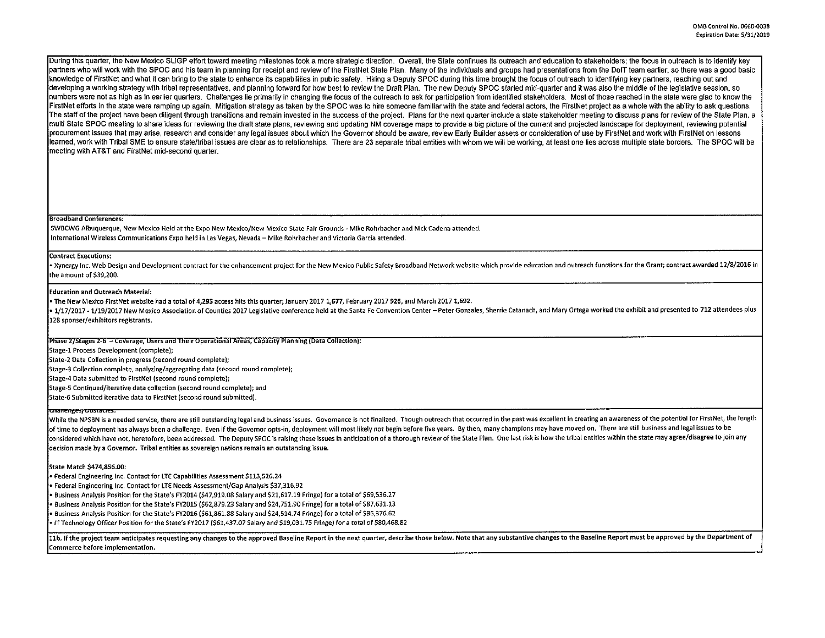During this quarter, the New Mexico SLIGP effort toward meeting milestones took a more strategic direction. Overall, the State continues its outreach and education to stakeholders; the focus in outreach is to identify key partners who will work with the SPOC and his team in planning for receipt and review of the FirstNet State Plan. Many of the individuals and groups had presentations from the DoIT team earlier, so there was a good basic knowledge of FirstNet and what it can bring to the state to enhance its capabilities in public safety. Hiring a Deputy SPOC during this time brought the focus of outreach to identifying key partners, reaching out and developing a working strategy with tribal representatives, and planning forward for how best to review the Draft Plan. The new Deputy SPOC started mid-quarter and it was also the middle of the legislative session, so numbers were not as high as in earlier quarters. Challenges lie primarily in changing the focus of the outreach to ask for participation from identified stakeholders. Most of those reached in the state were glad to know the FirstNet efforts in the state were ramping up again. Mitigation strategy as taken by the SPOC was to hire someone familiar with the state and federal actors, the FirstNet project as a whole with the ability to ask question The staff of the project have been diligent through transitions and remain invested in the success of the project. Plans for the next quarter include a state stakeholder meeting to discuss plans for review of the State Pla multi State SPOC meeting to share ideas for reviewing the draft state plans, reviewing and updating **NM** coverage maps to provide a big picture of the current and projected landscape for deployment, reviewing potential procurement issues that may arise, research and consider any legal issues about which the Governor should be aware, review Early Builder assets or consideration of use by Firs!Net and work with Firs!Net on lessons learned, work with Tribal SME lo ensure state/tribal issues are clear as to relationships. There are 23 separate tribal entities with whom we will be working, at least one lies across multiple state borders. The SPOC will be meeting with AT&T and FirstNet mid-second quarter.

# Broadband Conferences:

SWBCWG Albuquerque, New Mexico Held at the Expo New Mexico/New Mexico State Fair Grounds - Mike Rohrbacher and Nick Cadena attended. International Wireless Communications Expo held in Las Vegas, Nevada - Mike Rohrbacher and Victoria Garcia attended.

### Contract Executions:

Xynergy Inc. Web Design and Development contract for the enhancement project for the New Mexico Public Safety Broadband Network website which provide education and outreach functions for the Grant; contract awarded 12/8/20 the amount of \$39,200.

## Education and Outreach Material:

• The New Mexico FirstNet website had a total of 4,295 access hits this quarter; January 2017 1,677, February 2017 926, and March 2017 1,692.

• 1/17/2017 - 1/19/2017 New Mexico Association of Counties 2017 Legislative conference held at the Santa Fe Convention Center - Peter Gonzales, Sherrie Catanach, and Mary Ortega worked the exhibit and presented to 712 atte 128 sponser/exhibitors registrants.

## Phase 2/Stages 2-6 - Coverage, Users and Their Operational Areas, Capacity Planning (Data Collection):

Stage-1 Process Development (complete];

State-2 Data Collection in progress (second round complete];

Stage-3 Collection complete, analyzing/aggregating data (second round complete);

Stage-4 Data submitted to FirstNet (second round complete);

Stage-5 Continued/iterative data collection (second round complete]; and

State-6 Submitted iterative data to FirstNet (second round submitted].

constructs and the product of the control of the controller of the product of the length outstanding legal and business issues. Governance is not finalized. Though outreach that occurred in the past was excellent in creati of time to deployment has always been a challenge. Even if the Governor opts-in, deployment will most likely not begin before five years. By then, many champions may have moved on. There are still business and legal issues considered which have not, heretofore, been addressed. The Deputy SPOC is raising these issues in anticipation of a thorough review of the State Plan. One last risk is how the tribal entities within the state may agree/dis decision made by a Governor. Tribal entities as sovereign nations remain an outstanding issue.

# **State Match \$474,856.00:**

• Federal Engineering Inc. Contact for LTE Capabilities Assessment \$113,526.24

• Federal Engineering Inc. Contact for LTE Needs Assessment/Gap Analysis \$37,316.92

• Business Analysis Position for the State's FY2014 (547,919.08 Salary and \$21,617.19 Fringe) for a total of \$69,536.27

• Business Analysis Position for the State's FY2015 (\$62,879.23 Salary and \$24,751.90 Fringe) for a total of \$87,631.13

• Business Analysis Position for the State's FY2016 (\$61,861.88 Salary and \$24,514.74 Fringe) for a total of \$86,376.62

• IT Technology Officer Position for the State's FY2D17 (\$61,437.07 Salary and S19,031. 75 Fringe) for a total of \$80,468.82

11b. If the project team anticipates requesting any changes to the approved Baseline Report in the next quarter, describe those below. Note that any substantive changes to the Baseline Report must be approved by the Depart Commerce before implementation.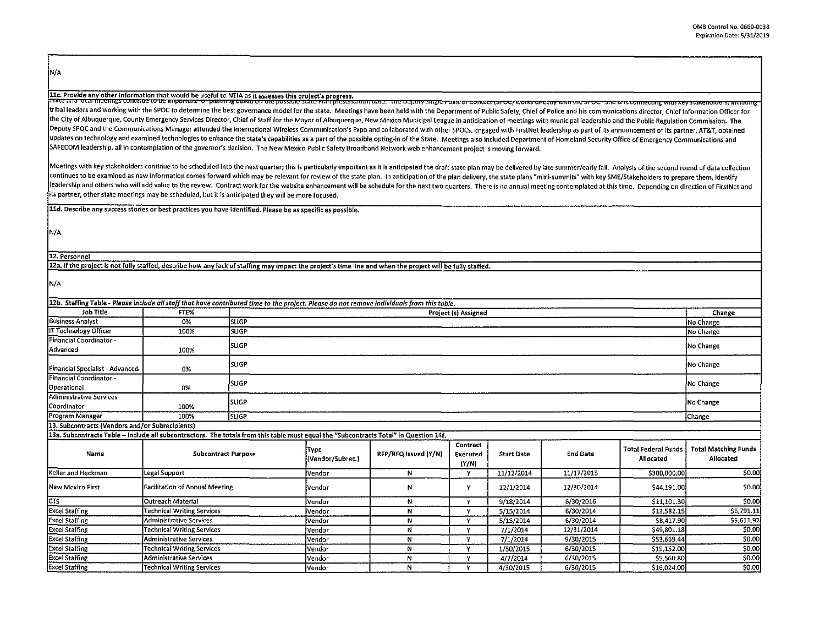N/A

ilc. Provide any other information that would be useful to NTIA as it assesses this project's progress.<br>State and over the comments to be important or praiming daster of the state of the state frampless into the state into tribal leaders and working with the SPOC to determine the best governance model for the state. Meetings have been held with the Department of Public Safety, Chief of Police and his communications director; Chief Informatio the City of Albuquerque, County Emergency Services Director, Chief of Staff for the Mayor of Albuquerque, New Mexico Municipal League in anticipation of meetings with municipal leadership and the Public Regulation Commissi Deputy SPOC and the Communications Manager attended the International Wireless Communication's Expo and collaborated with other SPOCs, engaged with FirstNet leadership as part of its announcement of its partner, AT&T, obta updates on technology and examined technologies to enhance the state's capabilities as a part of the possible opting-in of the State. Meetings also included Department of Homeland Security Office of Emergency Communication SAFECOM leadership, all in contemplation of the governor's decision. The New Mexico Public Safety Broadband Network web enhancement project is moving forward.

Meetings with key stakeholders continue to be scheduled into the next quarter; this is particularly important as it is anticipated the draft state plan may be delivered by late summer/early fall. Analysis of the second rou continues to be examined as new information comes forward which may be relevant for review of the state plan. In anticipation of the plan delivery, the state plans "mini-summits" with key SME/Stakeholders to prepare them, leadership and others who will add value to the review. Contract work for the website enhancement will be schedule for the next two quarters. There is no annual meeting contemplated at this time. Depending on direction of its partner, other state meetings may be scheduled, but it is anticipated they will be more focused.

lld. Describe any success stories or best practices you have identified, Please be as specific as possible.

N/A

12. Personnel

12a, If the project is not fully staffed, describe how any lack of staffing may impact the project's time line and when the project will be fully staffed.

**N/A** 

| 12b. Staffing Table - Please include all staff that have contributed time to the project. Please do not remove individuals from this table. |                                       |              |                                                                                                                                       |                      |                               |                   |                 |                                         |                                          |
|---------------------------------------------------------------------------------------------------------------------------------------------|---------------------------------------|--------------|---------------------------------------------------------------------------------------------------------------------------------------|----------------------|-------------------------------|-------------------|-----------------|-----------------------------------------|------------------------------------------|
| Job Title                                                                                                                                   | FTE%                                  |              | Project (s) Assigned                                                                                                                  |                      |                               |                   |                 |                                         | Change                                   |
| <b>Business Analyst</b>                                                                                                                     | 0%                                    | <b>SLIGP</b> |                                                                                                                                       |                      |                               |                   |                 |                                         | No Change                                |
| IT Technology Officer                                                                                                                       | 100%                                  | <b>SLIGP</b> | No Change                                                                                                                             |                      |                               |                   |                 |                                         |                                          |
| Financial Coordinator -<br>Advanced                                                                                                         | 100%                                  | <b>SLIGP</b> |                                                                                                                                       |                      |                               |                   |                 |                                         | No Change                                |
| Financial Specialist - Advanced                                                                                                             | 0%                                    | Isugp        | No Change                                                                                                                             |                      |                               |                   |                 |                                         |                                          |
| Financial Coordinator -<br>Operational                                                                                                      | 0%                                    | <b>SLIGP</b> |                                                                                                                                       |                      |                               |                   |                 |                                         | No Change                                |
| <b>Administrative Services</b><br>Coordinator                                                                                               | 100%                                  | <b>SLIGP</b> |                                                                                                                                       |                      |                               |                   |                 |                                         | No Change                                |
| Program Manager                                                                                                                             | 100%                                  | <b>SLIGP</b> |                                                                                                                                       |                      |                               |                   |                 |                                         | Change                                   |
| 13. Subcontracts (Vendors and/or Subrecipients)                                                                                             |                                       |              |                                                                                                                                       |                      |                               |                   |                 |                                         |                                          |
|                                                                                                                                             |                                       |              | 13a. Subcontracts Table - Include all subcontractors. The totals from this table must equal the "Subcontracts Total" in Question 14f. |                      |                               |                   |                 |                                         |                                          |
| Name                                                                                                                                        | <b>Subcontract Purpose</b>            |              | Түре<br>(Vendor/Subrec.)                                                                                                              | RFP/RFQ Issued (Y/N) | Contract<br>Executed<br>(Y/N) | <b>Start Date</b> | <b>End Date</b> | <b>Total Federal Funds</b><br>Allocated | <b>Total Matching Funds</b><br>Allocated |
| Keller and Heckman                                                                                                                          | Legal Support                         |              | Vendor                                                                                                                                | N                    | v                             | 11/12/2014        | 11/17/2015      | \$300,000.00                            | \$0.00                                   |
| New Mexico First                                                                                                                            | <b>Facilitation of Annual Meeting</b> |              | Vendor                                                                                                                                | N                    | Y                             | 12/1/2014         | 12/30/2014      | \$44,191.00                             | \$0.00                                   |
| <b>CTS</b>                                                                                                                                  | <b>Outreach Material</b>              |              | Vendor                                                                                                                                | N                    | v                             | 9/18/2014         | 6/30/2016       | \$11,101.30                             | \$0.00                                   |
| <b>Excel Staffing</b>                                                                                                                       | <b>Technical Writing Services</b>     |              | Vendor                                                                                                                                | N                    | v                             | 5/15/2014         | 6/30/2014       | \$13,582.15                             | 56,791.11                                |
| <b>Excel Staffing</b>                                                                                                                       | Administrative Services               |              | Vendor                                                                                                                                | N                    | v                             | 5/15/2014         | 6/30/2014       | \$8,417.90                              | \$5,611.92                               |
| <b>Excel Staffing</b>                                                                                                                       | <b>Fechnical Writing Services</b>     |              | Vendor                                                                                                                                | N                    | v                             | 7/1/2014          | 12/31/2014      | \$49,801.18                             | \$0.00                                   |
| <b>Excel Staffing</b>                                                                                                                       | Administrative Services               |              | Vendor                                                                                                                                | N                    | Y                             | 7/1/2014          | 9/30/2015       | \$53,669.44                             | \$0.00                                   |
| <b>Excel Staffing</b>                                                                                                                       | Technical Writing Services            |              | Vendor                                                                                                                                | N                    | v                             | 1/30/2015         | 6/30/2015       | \$19,152.00                             | \$0.00                                   |
| <b>Excel Staffing</b>                                                                                                                       | Administrative Services               |              | <b>Vendor</b>                                                                                                                         | N                    | v                             | 4/7/2014          | 6/30/2015       | \$5,560.80                              | \$0.00                                   |
| <b>Excel Staffing</b>                                                                                                                       | <b>Technical Writing Services</b>     |              | lVendor                                                                                                                               | N                    | ٧                             | 4/30/2015         | 6/30/2015       | \$16,024.00                             | \$0.00                                   |